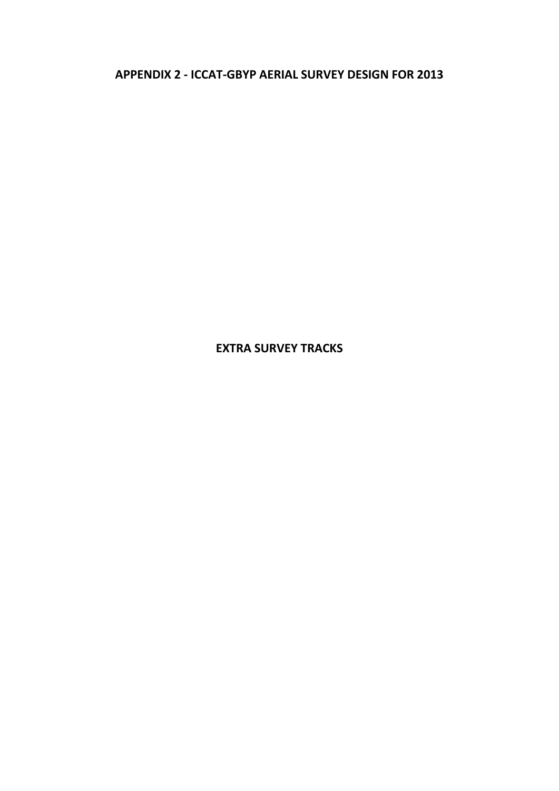**APPENDIX 2 - ICCAT-GBYP AERIAL SURVEY DESIGN FOR 2013**

# **EXTRA SURVEY TRACKS**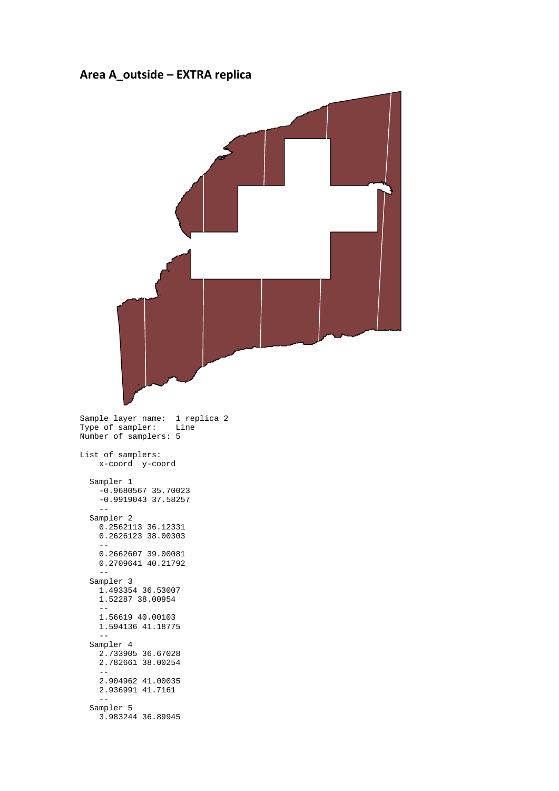#### **Area A\_outside – EXTRA replica**

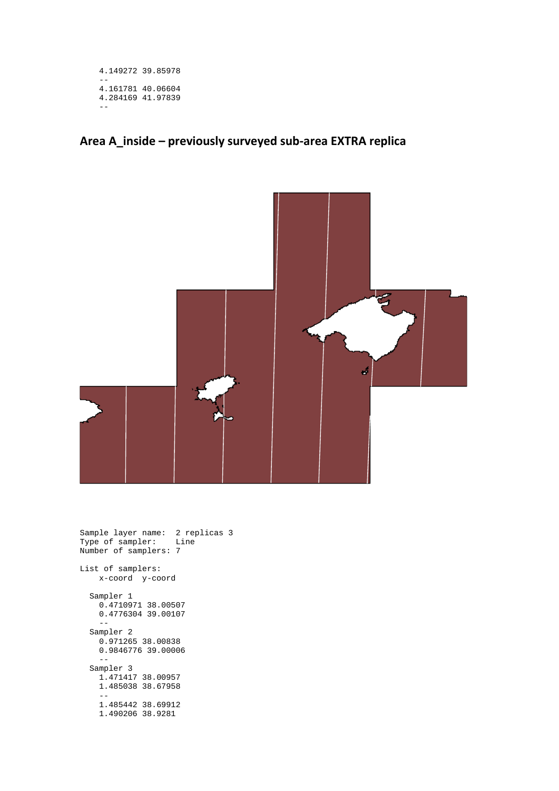```
 4.149272 39.85978
 --
 4.161781 40.06604
 4.284169 41.97839
 --
```
## **Area A\_inside – previously surveyed sub-area EXTRA replica**



Sample layer name: 2 replicas 3 Type of sampler: Line Number of samplers: 7 List of samplers: x-coord y-coord Sampler 1  $0.4710971$  38.00507 0.4776304 39.00107  $-$  Sampler 2 0.971265 38.00838 0.9846776 39.00006 -- Sampler 3 1.471417 38.00957 1.485038 38.67958 -- 1.485442 38.69912 1.490206 38.9281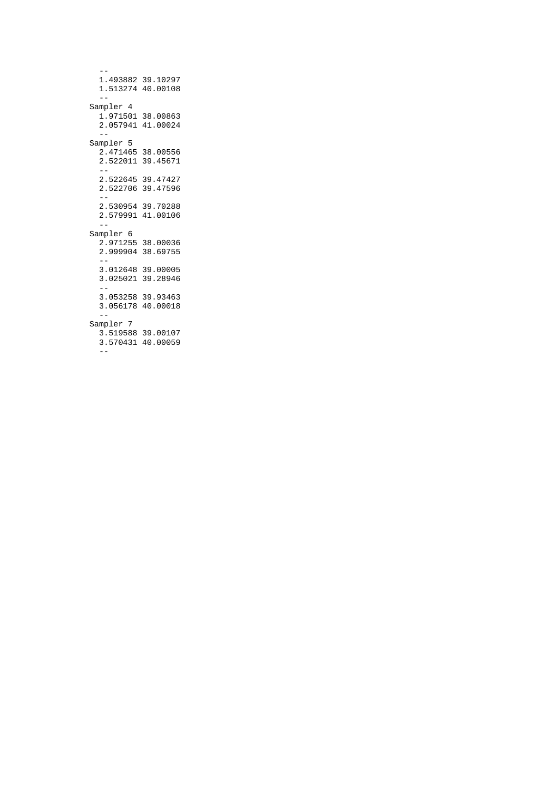-- 1.493882 39.10297 1.513274 40.00108  $-\,-$  Sampler 4 1.971501 38.00863 2.057941 41.00024 -- Sampler 5  $2.471465$  38.00556 2.522011 39.45671  $-$  2.522645 39.47427 2.522706 39.47596 -- 2.530954 39.70288 2.579991 41.00106  $- -$  Sampler 6 2.971255 38.00036 2.999904 38.69755  $-$  3.012648 39.00005 3.025021 39.28946 -- 3.053258 39.93463 3.056178 40.00018 -- Sampler 7 3.519588 39.00107 3.570431 40.00059  $-$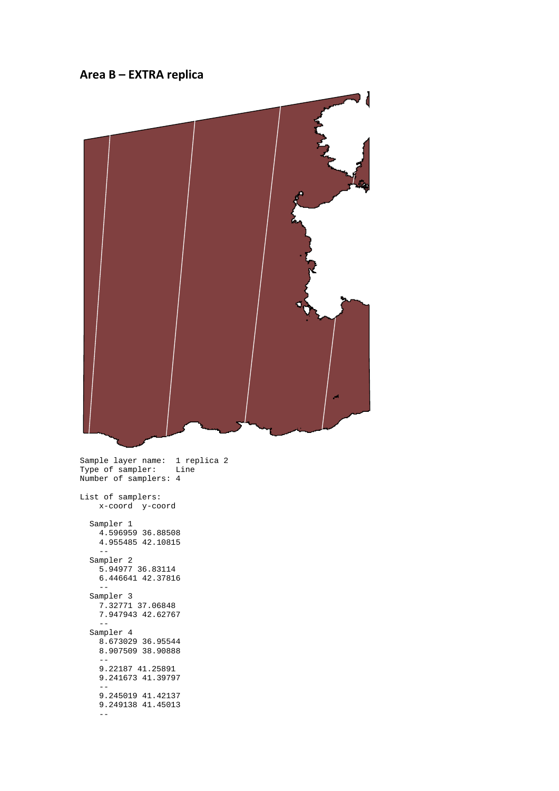#### **Area B – EXTRA replica**



Sample layer name: 1 replica 2 Type of sampler: Line Number of samplers: 4 List of samplers: x-coord y-coord Sampler 1 4.596959 36.88508 4.955485 42.10815  $-$  Sampler 2 5.94977 36.83114 6.446641 42.37816 -- Sampler 3 7.32771 37.06848 7.947943 42.62767  $-$  Sampler 4 8.673029 36.95544 8.907509 38.90888 -- 9.22187 41.25891 9.241673 41.39797 -- 9.245019 41.42137 9.249138 41.45013  $-$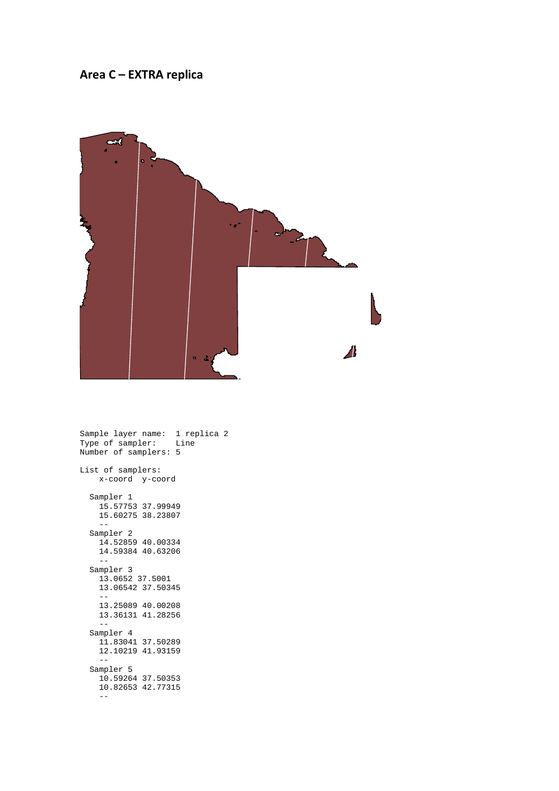#### **Area C – EXTRA replica**



Sample layer name: 1 replica 2 Type of sampler: Line Number of samplers: 5 List of samplers: x-coord y-coord Sampler 1 15.57753 37.99949 15.60275 38.23807 -- Sampler 2 14.52859 40.00334 14.59384 40.63206 -- Sampler 3 13.0652 37.5001 13.06542 37.50345 -- 13.25089 40.00208 13.36131 41.28256 -- Sampler 4 11.83041 37.50289 12.10219 41.93159  $-$  Sampler 5 10.59264 37.50353 10.82653 42.77315 --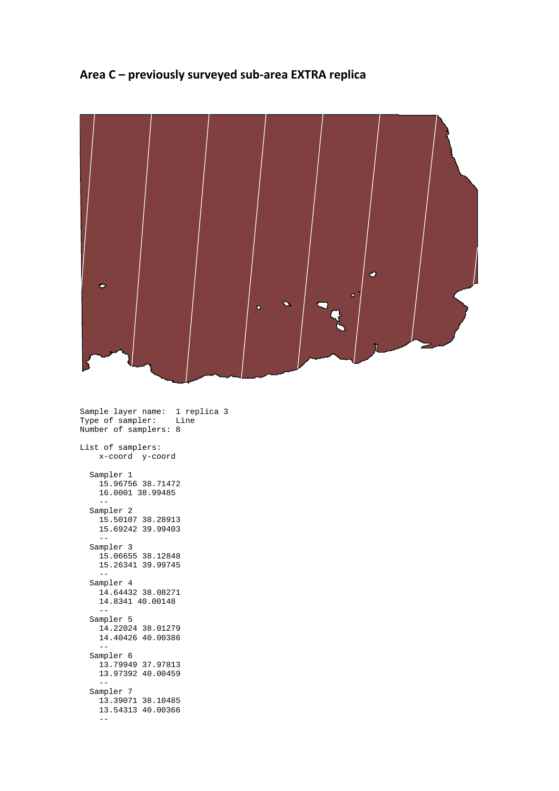### **Area C – previously surveyed sub-area EXTRA replica**



Sample layer name: 1 replica 3 Type of sampler: Line Number of samplers: 8 List of samplers: x-coord y-coord Sampler 1 15.96756 38.71472 16.0001 38.99485 -- Sampler 2 15.50107 38.28913 15.69242 39.99403 -- Sampler 3 15.06655 38.12848 15.26341 39.99745 -- Sampler 4 14.64432 38.08271 14.8341 40.00148

 -- Sampler 5 14.22024 38.01279 14.40426 40.00386 -- Sampler 6 13.79949 37.97813 13.97392 40.00459 -- Sampler 7 13.39071 38.10485 13.54313 40.00366 --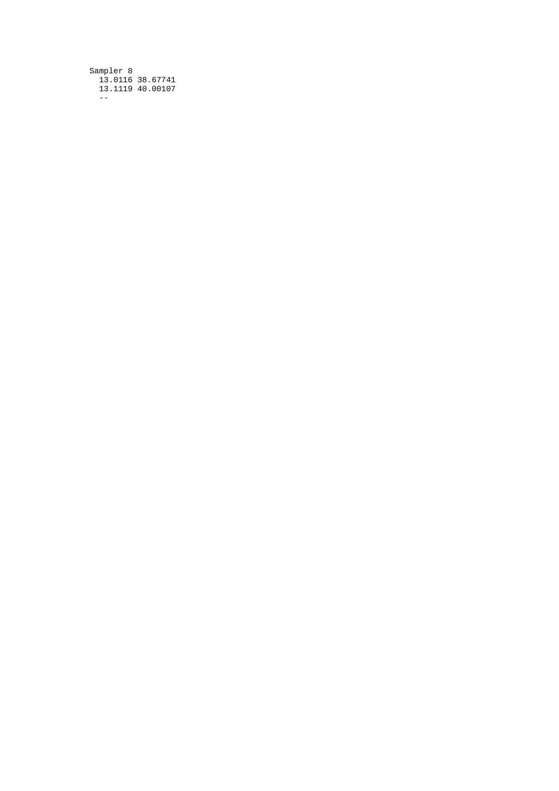| Sampler 8 |                  |
|-----------|------------------|
|           | 13.0116 38.67741 |
|           | 13.1119 40.00107 |
|           |                  |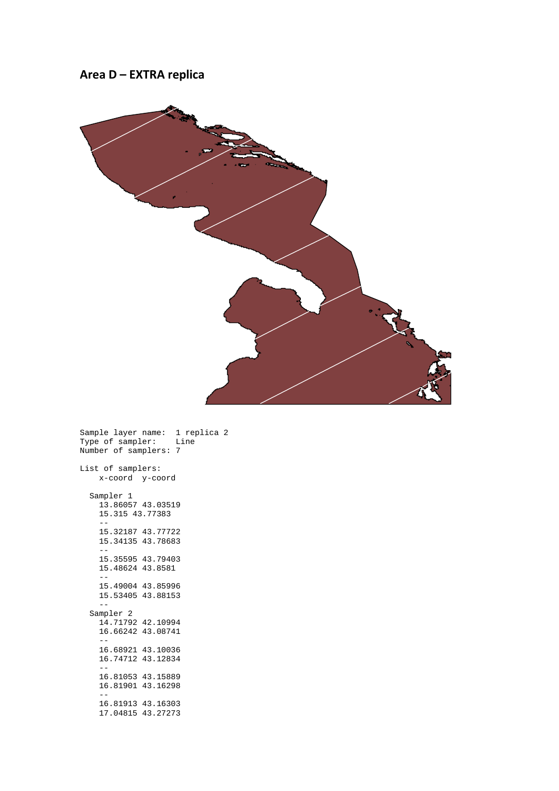#### **Area D – EXTRA replica**



Sample layer name: 1 replica 2 Type of sampler: Line Number of samplers: 7

 x-coord y-coord Sampler 1 13.86057 43.03519 15.315 43.77383 -- 15.32187 43.77722 15.34135 43.78683 -- 15.35595 43.79403 15.48624 43.8581 -- 15.49004 43.85996 15.53405 43.88153 -- Sampler 2 14.71792 42.10994 16.66242 43.08741 -- 16.68921 43.10036 16.74712 43.12834 -- 16.81053 43.15889 16.81901 43.16298 -- 16.81913 43.16303 17.04815 43.27273

List of samplers: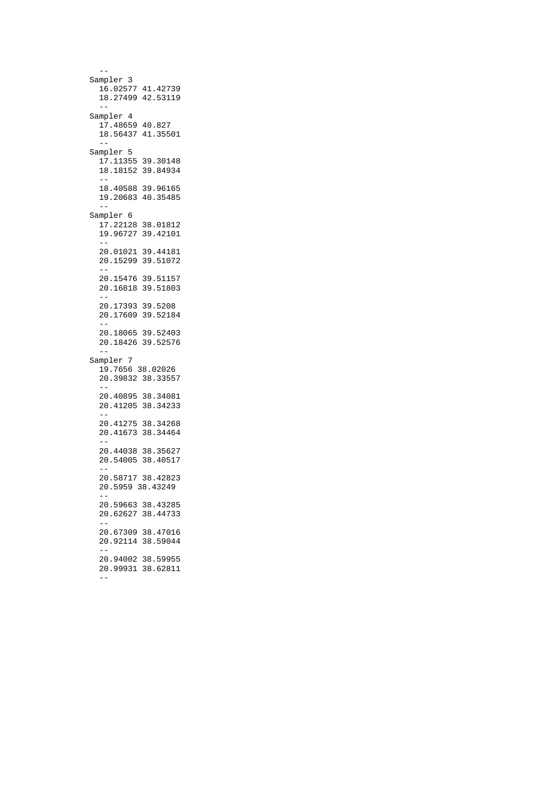-- Sampler 3  $16.02577$   $41.42739$  18.27499 42.53119 -- Sampler 4 17.48659 40.827 18.56437 41.35501 -- Sampler 5 17.11355 39.30148 18.18152 39.84934 -- 18.40588 39.96165 19.20683 40.35485 -- Sampler 6 17.22128 38.01812 19.96727 39.42101 -- 20.01021 39.44181 20.15299 39.51072  $-$  20.15476 39.51157 20.16818 39.51803 -- 20.17393 39.5208 20.17609 39.52184 -- 20.18065 39.52403 20.18426 39.52576  $-$  Sampler 7 19.7656 38.02026 20.39832 38.33557 -- 20.40895 38.34081 20.41205 38.34233 -- 20.41275 38.34268 20.41673 38.34464 -- 20.44038 38.35627 20.54005 38.40517 -- 20.58717 38.42823 20.5959 38.43249 -- 20.59663 38.43285 20.62627 38.44733 -- 20.67309 38.47016 20.92114 38.59044 -- 20.94002 38.59955 20.99931 38.62811  $-$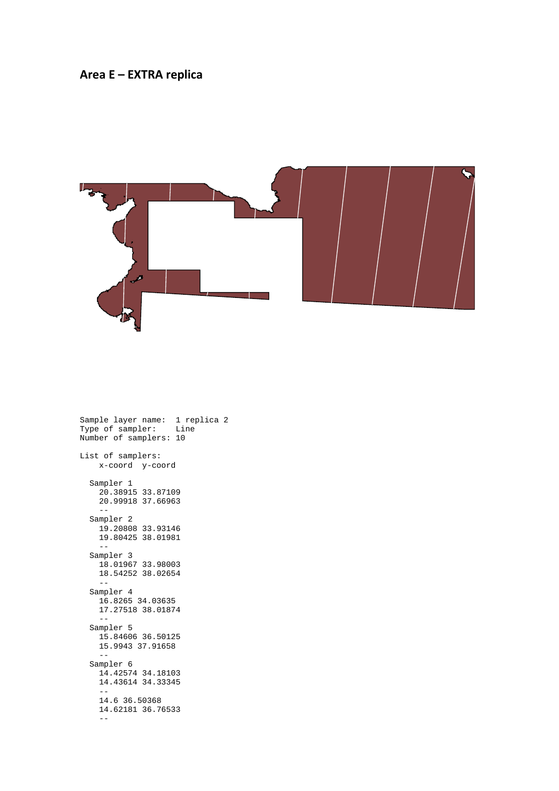#### **Area E – EXTRA replica**



Sample layer name: 1 replica 2 Type of sampler: Line Number of samplers: 10 List of samplers: x-coord y-coord Sampler 1 20.38915 33.87109 20.99918 37.66963  $-$  Sampler 2 19.20808 33.93146 19.80425 38.01981 -- Sampler 3 18.01967 33.98003 18.54252 38.02654 -- Sampler 4 16.8265 34.03635 17.27518 38.01874 -- Sampler 5 15.84606 36.50125 15.9943 37.91658 -- Sampler 6 14.42574 34.18103 14.43614 34.33345  $-$  14.6 36.50368 14.62181 36.76533  $-$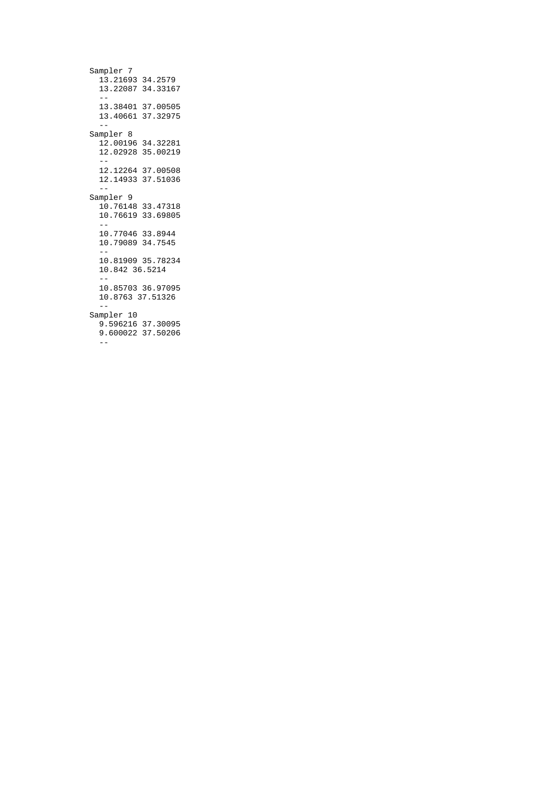Sampler 7 13.21693 34.2579 13.22087 34.33167  $-$  13.38401 37.00505 13.40661 37.32975 -- Sampler 8 12.00196 34.32281 12.02928 35.00219 -- 12.12264 37.00508 12.14933 37.51036 -- Sampler 9 10.76148 33.47318 10.76619 33.69805 -- 10.77046 33.8944 10.79089 34.7545 -- 10.81909 35.78234 10.842 36.5214 -- 10.85703 36.97095 10.8763 37.51326 -- Sampler 10 9.596216 37.30095 9.600022 37.50206  $-$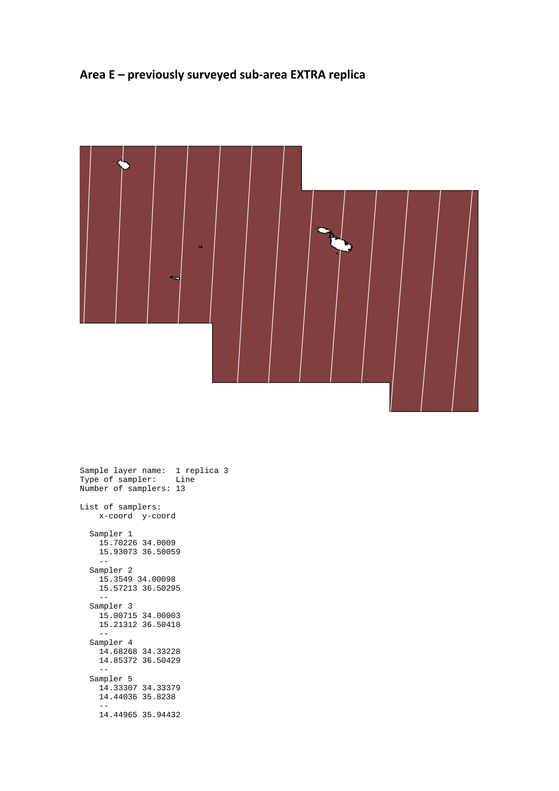### **Area E – previously surveyed sub-area EXTRA replica**



Sample layer name: 1 replica 3 Type of sampler: Line Number of samplers: 13 List of samplers: x-coord y-coord Sampler 1 15.70226 34.0009 15.93073 36.50059 -- Sampler 2 15.3549 34.00098 15.57213 36.50295  $-$  Sampler 3 15.00715 34.00003 15.21312 36.50418  $-$  Sampler 4 14.68268 34.33228 14.85372 36.50429  $-$  Sampler 5 14.33307 34.33379 14.44036 35.8238 -- 14.44965 35.94432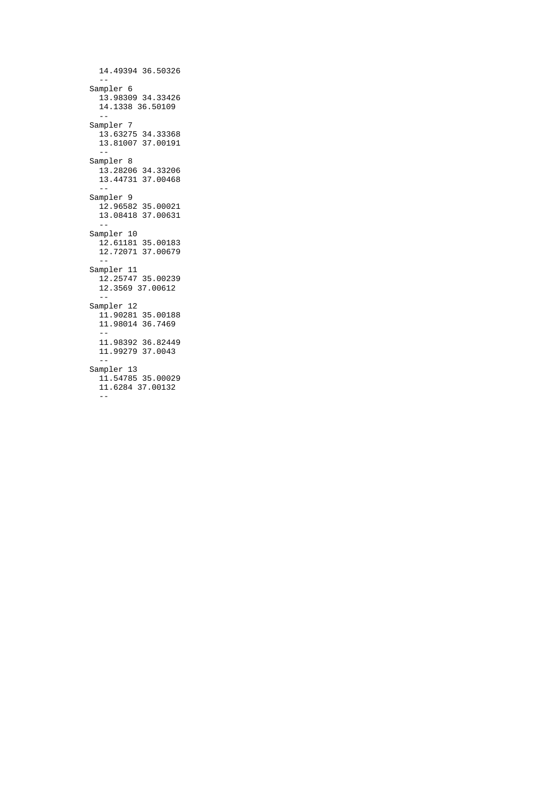14.49394 36.50326  $-$  Sampler 6 13.98309 34.33426 14.1338 36.50109 -- Sampler 7 13.63275 34.33368 13.81007 37.00191 -- Sampler 8 13.28206 34.33206 13.44731 37.00468 -- Sampler 9 12.96582 35.00021 13.08418 37.00631  $--$  Sampler 10 12.61181 35.00183 12.72071 37.00679  $-$  Sampler 11 12.25747 35.00239 12.3569 37.00612 -- Sampler 12 11.90281 35.00188 11.98014 36.7469 -- 11.98392 36.82449 11.99279 37.0043 -- Sampler 13 11.54785 35.00029 11.6284 37.00132  $-$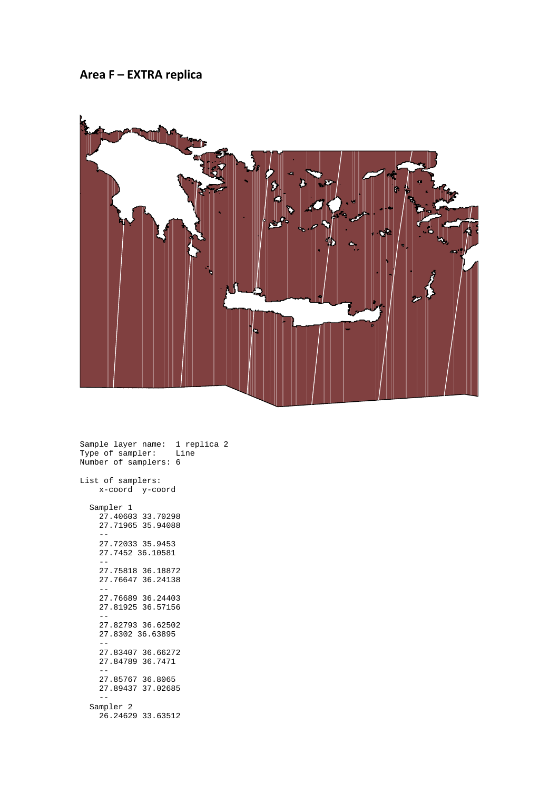#### **Area F – EXTRA replica**



```
Sample layer name: 1 replica 2
Type of sampler: Line
Number of samplers: 6
List of samplers:
    x-coord y-coord
   Sampler 1
     27.40603 33.70298
     27.71965 35.94088
 --
 27.72033 35.9453
     27.7452 36.10581
 --
 27.75818 36.18872
     27.76647 36.24138
     --
     27.76689 36.24403
     27.81925 36.57156
 --
 27.82793 36.62502
     27.8302 36.63895
 --
 27.83407 36.66272
     27.84789 36.7471
 --
 27.85767 36.8065
     27.89437 37.02685
 --
 Sampler 2
    26.24629 33.63512
```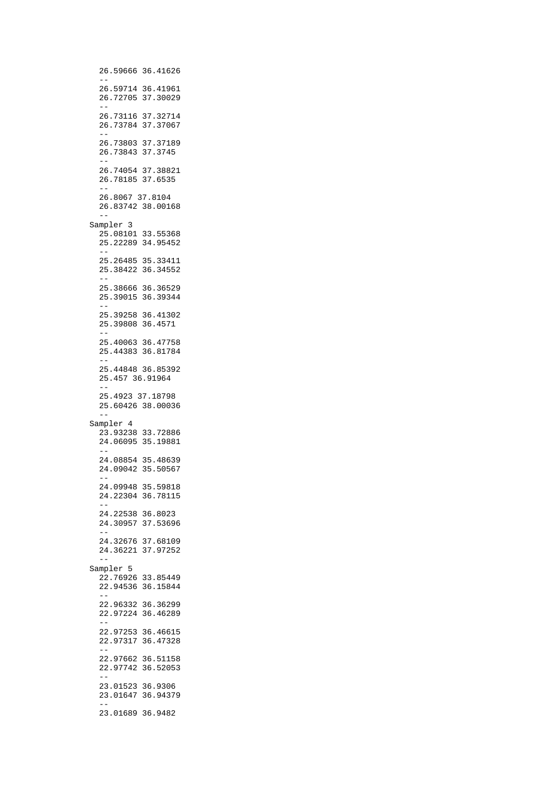26.59666 36.41626 -- 26.59714 36.41961 26.72705 37.30029 -- 26.73116 37.32714 26.73784 37.37067 -- 26.73803 37.37189 26.73843 37.3745 -- 26.74054 37.38821 26.78185 37.6535 -- 26.8067 37.8104 26.83742 38.00168 -- Sampler 3 25.08101 33.55368 25.22289 34.95452 -- 25.26485 35.33411 25.38422 36.34552 -- 25.38666 36.36529 25.39015 36.39344 -- 25.39258 36.41302 25.39808 36.4571 -- 25.40063 36.47758 25.44383 36.81784 -- 25.44848 36.85392 25.457 36.91964 -- 25.4923 37.18798 25.60426 38.00036 -- Sampler 4 23.93238 33.72886 24.06095 35.19881 -- 24.08854 35.48639 24.09042 35.50567 -- 24.09948 35.59818 24.22304 36.78115 -- 24.22538 36.8023 24.30957 37.53696 -- 24.32676 37.68109 24.36221 37.97252 -- Sampler 5 22.76926 33.85449 22.94536 36.15844 -- 22.96332 36.36299 22.97224 36.46289 -- 22.97253 36.46615 22.97317 36.47328 -- 22.97662 36.51158 22.97742 36.52053 -- 23.01523 36.9306 23.01647 36.94379 -- 23.01689 36.9482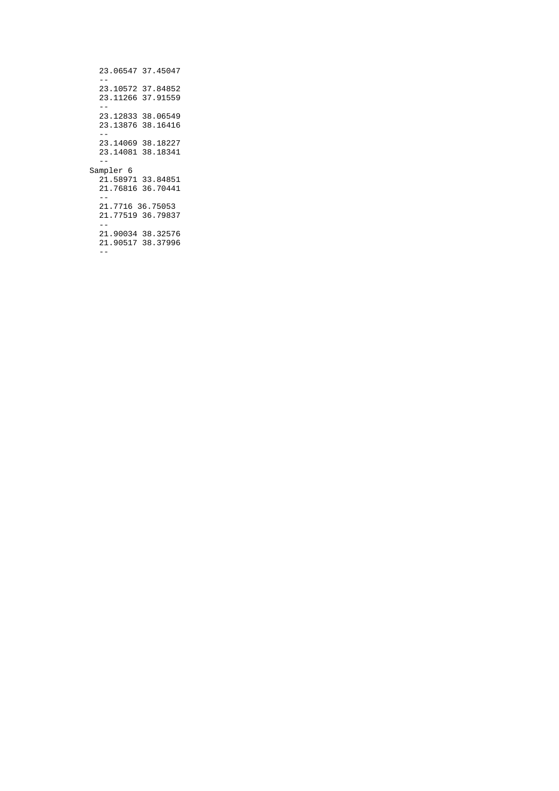```
 23.06547 37.45047
    --
    23.10572 37.84852
    23.11266 37.91559
    --
 23.12833 38.06549
 23.13876 38.16416
    --
    23.14069 38.18227
    23.14081 38.18341
   - Sampler 6
    21.58971 33.84851
    21.76816 36.70441
    --
    21.7716 36.75053
    21.77519 36.79837
   - 21.90034 38.32576
 21.90517 38.37996
   \perp \perp
```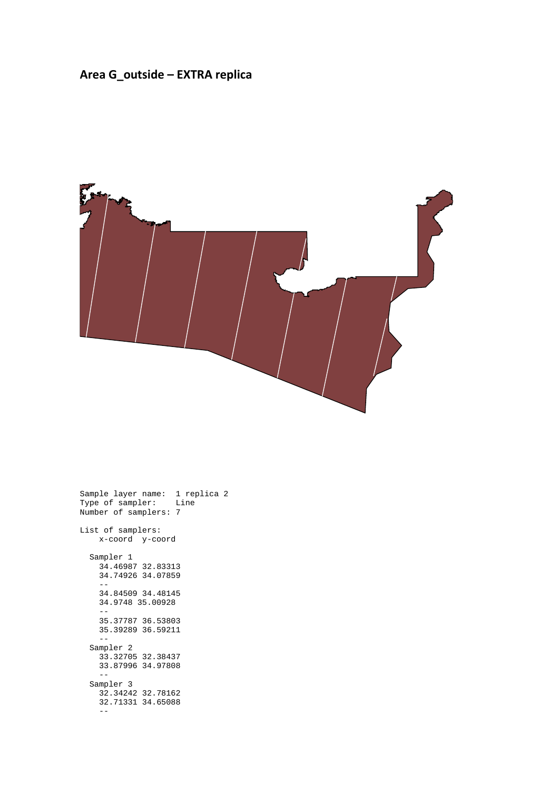# **Area G\_outside – EXTRA replica**



Sample layer name: 1 replica 2 Type of sampler: Line Number of samplers: 7 List of samplers: x-coord y-coord Sampler 1 34.46987 32.83313 34.74926 34.07859 -- 34.84509 34.48145 34.9748 35.00928 -- 35.37787 36.53803 35.39289 36.59211 -- Sampler 2 33.32705 32.38437 33.87996 34.97808 -- Sampler 3 32.34242 32.78162 32.71331 34.65088 --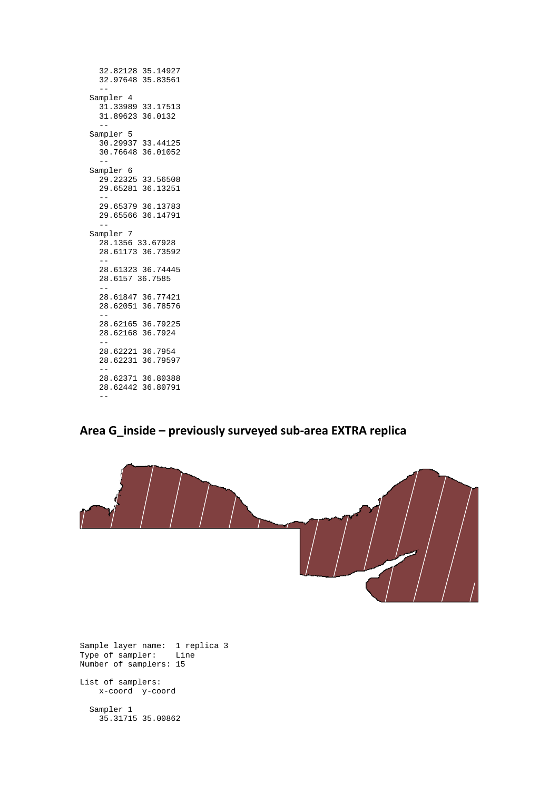32.82128 35.14927 32.97648 35.83561 -- Sampler 4 31.33989 33.17513 31.89623 36.0132 -- Sampler 5 30.29937 33.44125 30.76648 36.01052  $- -$  Sampler 6 29.22325 33.56508 29.65281 36.13251 -- 29.65379 36.13783 29.65566 36.14791  $-$  Sampler 7 28.1356 33.67928 28.61173 36.73592 -- 28.61323 36.74445 28.6157 36.7585 -- 28.61847 36.77421 28.62051 36.78576 -- 28.62165 36.79225 28.62168 36.7924 -- 28.62221 36.7954 28.62231 36.79597 -- 28.62371 36.80388 28.62442 36.80791 --

#### **Area G\_inside – previously surveyed sub-area EXTRA replica**



Sample layer name: 1 replica 3 Type of sampler: Line Number of samplers: 15

List of samplers: x-coord y-coord

 Sampler 1 35.31715 35.00862